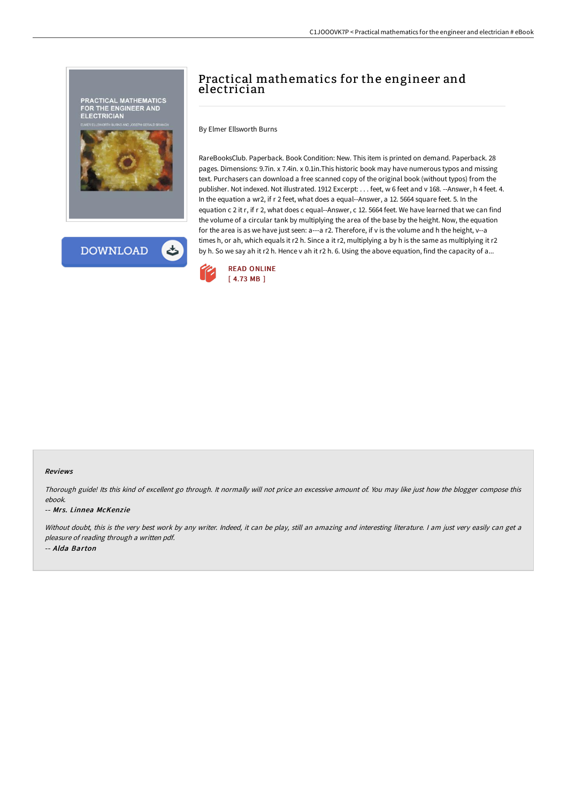

# Practical mathematics for the engineer and electrician

By Elmer Ellsworth Burns

RareBooksClub. Paperback. Book Condition: New. This item is printed on demand. Paperback. 28 pages. Dimensions: 9.7in. x 7.4in. x 0.1in.This historic book may have numerous typos and missing text. Purchasers can download a free scanned copy of the original book (without typos) from the publisher. Not indexed. Not illustrated. 1912 Excerpt: . . . feet, w 6 feet and v 168. --Answer, h 4 feet. 4. In the equation a wr2, if r 2 feet, what does a equal--Answer, a 12. 5664 square feet. 5. In the equation c 2 it r, if r 2, what does c equal--Answer, c 12. 5664 feet. We have learned that we can find the volume of a circular tank by multiplying the area of the base by the height. Now, the equation for the area is as we have just seen: a---a r2. Therefore, if v is the volume and h the height, v--a times h, or ah, which equals it r2 h. Since a it r2, multiplying a by h is the same as multiplying it r2 by h. So we say ah it r2 h. Hence v ah it r2 h. 6. Using the above equation, find the capacity of a...



#### Reviews

Thorough guide! Its this kind of excellent go through. It normally will not price an excessive amount of. You may like just how the blogger compose this ebook.

#### -- Mrs. Linnea McKenzie

Without doubt, this is the very best work by any writer. Indeed, it can be play, still an amazing and interesting literature. I am just very easily can get a pleasure of reading through <sup>a</sup> written pdf. -- Alda Barton